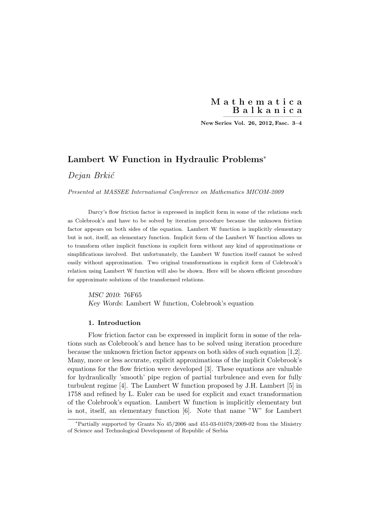New Series Vol. 26, 2012, Fasc. 3-4

# Lambert W Function in Hydraulic Problems<sup>∗</sup>

# Dejan Brkić

Presented at MASSEE International Conference on Mathematics MICOM-2009

Darcy's flow friction factor is expressed in implicit form in some of the relations such as Colebrook's and have to be solved by iteration procedure because the unknown friction factor appears on both sides of the equation. Lambert W function is implicitly elementary but is not, itself, an elementary function. Implicit form of the Lambert W function allows us to transform other implicit functions in explicit form without any kind of approximations or simplifications involved. But unfortunately, the Lambert W function itself cannot be solved easily without approximation. Two original transformations in explicit form of Colebrook's relation using Lambert W function will also be shown. Here will be shown efficient procedure for approximate solutions of the transformed relations.

MSC 2010: 76F65 Key Words: Lambert W function, Colebrook's equation

## 1. Introduction

Flow friction factor can be expressed in implicit form in some of the relations such as Colebrook's and hence has to be solved using iteration procedure because the unknown friction factor appears on both sides of such equation [1,2]. Many, more or less accurate, explicit approximations of the implicit Colebrook's equations for the flow friction were developed [3]. These equations are valuable for hydraulically 'smooth' pipe region of partial turbulence and even for fully turbulent regime [4]. The Lambert W function proposed by J.H. Lambert [5] in 1758 and refined by L. Euler can be used for explicit and exact transformation of the Colebrook's equation. Lambert W function is implicitly elementary but is not, itself, an elementary function [6]. Note that name "W" for Lambert

<sup>∗</sup>Partially supported by Grants No 45/2006 and 451-03-01078/2009-02 from the Ministry of Science and Technological Development of Republic of Serbia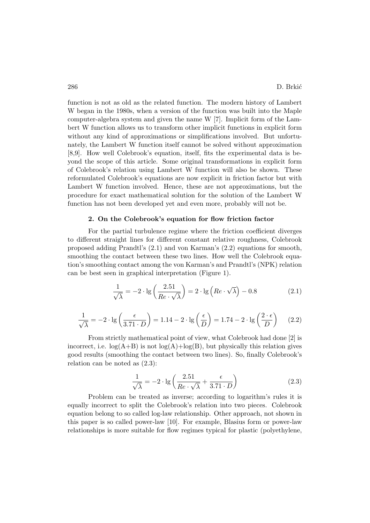function is not as old as the related function. The modern history of Lambert W began in the 1980s, when a version of the function was built into the Maple computer-algebra system and given the name W [7]. Implicit form of the Lambert W function allows us to transform other implicit functions in explicit form without any kind of approximations or simplifications involved. But unfortunately, the Lambert W function itself cannot be solved without approximation [8,9]. How well Colebrook's equation, itself, fits the experimental data is beyond the scope of this article. Some original transformations in explicit form of Colebrook's relation using Lambert W function will also be shown. These reformulated Colebrook's equations are now explicit in friction factor but with Lambert W function involved. Hence, these are not approximations, but the procedure for exact mathematical solution for the solution of the Lambert W function has not been developed yet and even more, probably will not be.

#### 2. On the Colebrook's equation for flow friction factor

For the partial turbulence regime where the friction coefficient diverges to different straight lines for different constant relative roughness, Colebrook proposed adding Prandtl's (2.1) and von Karman's (2.2) equations for smooth, smoothing the contact between these two lines. How well the Colebrook equation's smoothing contact among the von Karman's and Prandtl's (NPK) relation can be best seen in graphical interpretation (Figure 1).

$$
\frac{1}{\sqrt{\lambda}} = -2 \cdot \lg \left( \frac{2.51}{Re \cdot \sqrt{\lambda}} \right) = 2 \cdot \lg \left( Re \cdot \sqrt{\lambda} \right) - 0.8 \tag{2.1}
$$

$$
\frac{1}{\sqrt{\lambda}} = -2 \cdot \lg \left( \frac{\epsilon}{3.71 \cdot D} \right) = 1.14 - 2 \cdot \lg \left( \frac{\epsilon}{D} \right) = 1.74 - 2 \cdot \lg \left( \frac{2 \cdot \epsilon}{D} \right) \tag{2.2}
$$

From strictly mathematical point of view, what Colebrook had done [2] is incorrect, i.e.  $log(A+B)$  is not  $log(A)+log(B)$ , but physically this relation gives good results (smoothing the contact between two lines). So, finally Colebrook's relation can be noted as (2.3):

$$
\frac{1}{\sqrt{\lambda}} = -2 \cdot \lg \left( \frac{2.51}{Re \cdot \sqrt{\lambda}} + \frac{\epsilon}{3.71 \cdot D} \right)
$$
 (2.3)

Problem can be treated as inverse; according to logarithm's rules it is equally incorrect to split the Colebrook's relation into two pieces. Colebrook equation belong to so called log-law relationship. Other approach, not shown in this paper is so called power-law [10]. For example, Blasius form or power-law relationships is more suitable for flow regimes typical for plastic (polyethylene,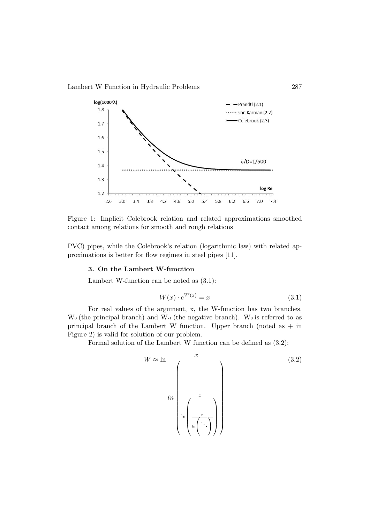

Figure 1: Implicit Colebrook relation and related approximations smoothed contact among relations for smooth and rough relations

PVC) pipes, while the Colebrook's relation (logarithmic law) with related approximations is better for flow regimes in steel pipes [11].

#### 3. On the Lambert W-function

Lambert W-function can be noted as (3.1):

$$
W(x) \cdot e^{W(x)} = x \tag{3.1}
$$

For real values of the argument, x, the W-function has two branches,  $W_0$  (the principal branch) and  $W_1$  (the negative branch). We is referred to as principal branch of the Lambert W function. Upper branch (noted as  $+$  in Figure 2) is valid for solution of our problem.

Formal solution of the Lambert W function can be defined as (3.2):

$$
W \approx \ln \frac{x}{\sqrt{\frac{x}{\ln \left(\frac{x}{\ln \left(\frac{x}{\cdot \cdot \cdot}\right)}\right)}}}
$$
(3.2)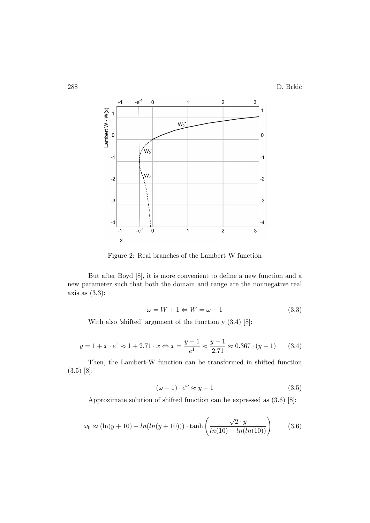

Figure 2: Real branches of the Lambert W function

But after Boyd [8], it is more convenient to define a new function and a new parameter such that both the domain and range are the nonnegative real axis as  $(3.3)$ :

$$
\omega = W + 1 \Leftrightarrow W = \omega - 1 \tag{3.3}
$$

With also 'shifted' argument of the function y (3.4) [8]:

$$
y = 1 + x \cdot e^1 \approx 1 + 2.71 \cdot x \Leftrightarrow x = \frac{y - 1}{e^1} \approx \frac{y - 1}{2.71} \approx 0.367 \cdot (y - 1) \tag{3.4}
$$

Then, the Lambert-W function can be transformed in shifted function (3.5) [8]:

$$
(\omega - 1) \cdot e^{\omega} \approx y - 1 \tag{3.5}
$$

Approximate solution of shifted function can be expressed as (3.6) [8]:

$$
\omega_0 \approx (\ln(y+10) - \ln(\ln(y+10))) \cdot \tanh\left(\frac{\sqrt{2 \cdot y}}{\ln(10) - \ln(\ln(10))}\right)
$$
\n(3.6)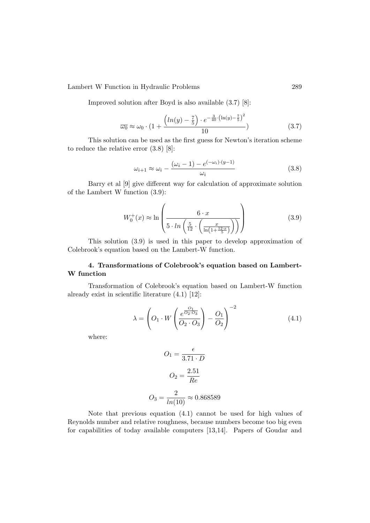Lambert W Function in Hydraulic Problems 289

Improved solution after Boyd is also available (3.7) [8]:

$$
\overline{\omega_0} \approx \omega_0 \cdot \left(1 + \frac{\left(\ln(y) - \frac{7}{5}\right) \cdot e^{-\frac{3}{40} \cdot \left(\ln(y) - \frac{7}{5}\right)^2}}{10}\right) \tag{3.7}
$$

This solution can be used as the first guess for Newton's iteration scheme to reduce the relative error (3.8) [8]:

$$
\omega_{i+1} \approx \omega_i - \frac{(\omega_i - 1) - e^{(-\omega_i) \cdot (y-1)}}{\omega_i} \tag{3.8}
$$

Barry et al [9] give different way for calculation of approximate solution of the Lambert W function (3.9):

$$
W_0^+(x) \approx \ln\left(\frac{6 \cdot x}{5 \cdot \ln\left(\frac{5}{12} \cdot \left(\frac{x}{\ln\left(1 + \frac{12 \cdot x}{5}\right)}\right)\right)}\right) \tag{3.9}
$$

This solution (3.9) is used in this paper to develop approximation of Colebrook's equation based on the Lambert-W function.

## 4. Transformations of Colebrook's equation based on Lambert-W function

Transformation of Colebrook's equation based on Lambert-W function already exist in scientific literature (4.1) [12]:

$$
\lambda = \left( O_1 \cdot W \left( \frac{e^{\frac{O_1}{O_2 O_3}}}{O_2 \cdot O_3} \right) - \frac{O_1}{O_2} \right)^{-2}
$$
(4.1)

where:

$$
O_1 = \frac{\epsilon}{3.71 \cdot D}
$$

$$
O_2 = \frac{2.51}{Re}
$$

$$
O_3 = \frac{2}{ln(10)} \approx 0.868589
$$

Note that previous equation (4.1) cannot be used for high values of Reynolds number and relative roughness, because numbers become too big even for capabilities of today available computers [13,14]. Papers of Goudar and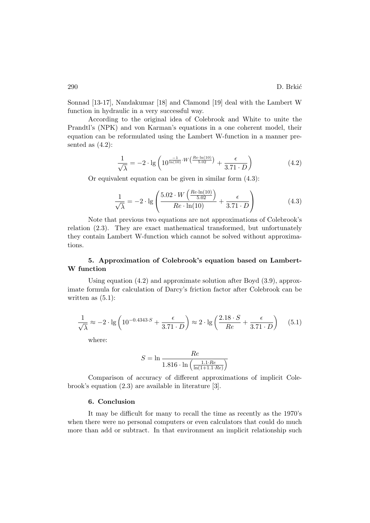Sonnad [13-17], Nandakumar [18] and Clamond [19] deal with the Lambert W function in hydraulic in a very successful way.

According to the original idea of Colebrook and White to unite the Prandtl's (NPK) and von Karman's equations in a one coherent model, their equation can be reformulated using the Lambert W-function in a manner presented as  $(4.2)$ :

$$
\frac{1}{\sqrt{\lambda}} = -2 \cdot \lg \left( 10^{\frac{-1}{\ln(10)} \cdot W \left( \frac{Re \cdot \ln(10)}{5.02} \right)} + \frac{\epsilon}{3.71 \cdot D} \right) \tag{4.2}
$$

Or equivalent equation can be given in similar form (4.3):

$$
\frac{1}{\sqrt{\lambda}} = -2 \cdot \lg \left( \frac{5.02 \cdot W \left( \frac{Re \cdot \ln(10)}{5.02} \right)}{Re \cdot \ln(10)} + \frac{\epsilon}{3.71 \cdot D} \right) \tag{4.3}
$$

Note that previous two equations are not approximations of Colebrook's relation (2.3). They are exact mathematical transformed, but unfortunately they contain Lambert W-function which cannot be solved without approximations.

## 5. Approximation of Colebrook's equation based on Lambert-W function

Using equation (4.2) and approximate solution after Boyd (3.9), approximate formula for calculation of Darcy's friction factor after Colebrook can be written as  $(5.1)$ :

$$
\frac{1}{\sqrt{\lambda}} \approx -2 \cdot \lg \left( 10^{-0.4343 \cdot S} + \frac{\epsilon}{3.71 \cdot D} \right) \approx 2 \cdot \lg \left( \frac{2.18 \cdot S}{Re} + \frac{\epsilon}{3.71 \cdot D} \right) \tag{5.1}
$$

where:

$$
S = \ln \frac{Re}{1.816 \cdot \ln \left(\frac{1.1 \cdot Re}{\ln(1+1.1 \cdot Re)}\right)}
$$

Comparison of accuracy of different approximations of implicit Colebrook's equation (2.3) are available in literature [3].

### 6. Conclusion

It may be difficult for many to recall the time as recently as the 1970's when there were no personal computers or even calculators that could do much more than add or subtract. In that environment an implicit relationship such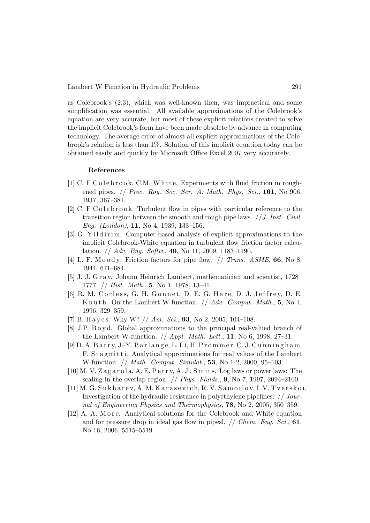Lambert W Function in Hydraulic Problems 291

as Colebrook's (2.3), which was well-known then, was impractical and some simplification was essential. All available approximations of the Colebrook's equation are very accurate, but most of these explicit relations created to solve the implicit Colebrook's form have been made obsolete by advance in computing technology. The average error of almost all explicit approximations of the Colebrook's relation is less than 1%. Solution of this implicit equation today can be obtained easily and quickly by Microsoft Office Excel 2007 very accurately.

### References

- [1] C. F C o l e b r o o k, C.M. W h i t e. Experiments with fluid friction in roughened pipes.  $//$  Proc. Roy. Soc. Ser. A: Math. Phys. Sci., 161, No 906, 1937, 367–381.
- [2] C. F C o l e b r o o k. Turbulent flow in pipes with particular reference to the transition region between the smooth and rough pipe laws.  $// J. Inst. Civil.$ Eng. (London), 11, No 4, 1939, 133–156.
- [3] G. Yildirim. Computer-based analysis of explicit approximations to the implicit Colebrook-White equation in turbulent flow friction factor calculation.  $// Adv. Eng. Softw., 40, No 11, 2009, 1183-1190.$
- [4] L. F. Moody. Friction factors for pipe flow.  $//$  Trans. ASME, 66, No 8, 1944, 671–684.
- [5] J. J. G r a y. Johann Heinrich Lambert, mathematician and scientist, 1728– 1777.  $//$  Hist. Math., 5, No 1, 1978, 13-41.
- [6] R. M. Corless, G. H. Gonnet, D. E. G. Hare, D. J. Jeffrey, D. E. K n u t h. On the Lambert W-function.  $// Adv. Comput. Math., 5, No 4,$ 1996, 329–359.
- [7] B. Hayes. Why W?  $// Am. Sci., 93, No 2, 2005, 104-108.$
- [8] J.P. B o y d. Global approximations to the principal real-valued branch of the Lambert W-function.  $//$  *Appl. Math. Lett.*, **11**, No 6, 1998, 27–31.
- $[9]$  D. A. Barry, J.-Y. Parlange, L. Li, H. Prommer, C. J. Cunningham, F. Stagnitti. Analytical approximations for real values of the Lambert W-function. // Math. Comput. Simulat., 53, No 1-2, 2000, 95–103.
- [10] M. V. Zagarola, A. E. Perry, A. J. Smits. Log laws or power laws: The scaling in the overlap region.  $// Phys. Fluids., 9, No 7, 1997, 2094-2100.$
- [11] M. G. S u k h a r e v, A. M. K a r a s e v i c h, R. V. S a m o i l o v, I. V. T v e r s k o i. Investigation of the hydraulic resistance in polyethylene pipelines. // Journal of Engineering Physics and Thermophysics, 78, No 2, 2005, 350–359.
- [12] A. A. M o r e. Analytical solutions for the Colebrook and White equation and for pressure drop in ideal gas flow in pipesl.  $// Chem. Eng. Sci., 61,$ No 16, 2006, 5515–5519.